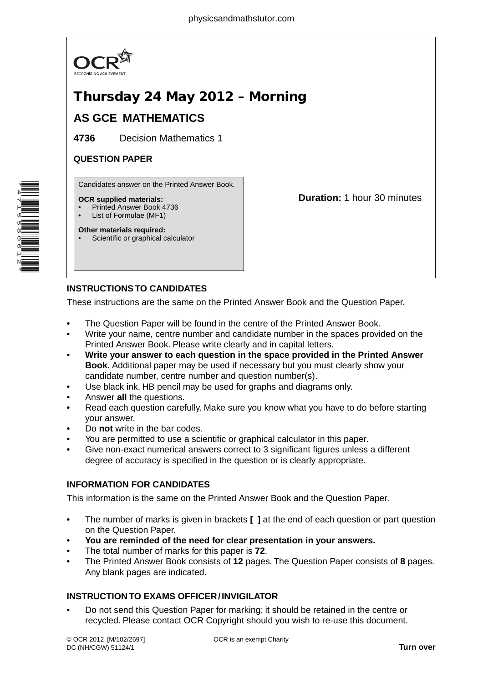

# Thursday 24 May 2012 – Morning

## **AS GCE MATHEMATICS**

**4736** Decision Mathematics 1

### **QUESTION PAPER**

Candidates answer on the Printed Answer Book.

### **OCR supplied materials:**

- Printed Answer Book 4736
- List of Formulae (MF1)
- **Other materials required:** Scientific or graphical calculator

**Duration:** 1 hour 30 minutes

## **INSTRUCTIONS TO CANDIDATES**

These instructions are the same on the Printed Answer Book and the Question Paper.

- The Question Paper will be found in the centre of the Printed Answer Book.
- Write your name, centre number and candidate number in the spaces provided on the Printed Answer Book. Please write clearly and in capital letters.
- **Write your answer to each question in the space provided in the Printed Answer Book.** Additional paper may be used if necessary but you must clearly show your candidate number, centre number and question number(s).
- Use black ink. HB pencil may be used for graphs and diagrams only.
- Answer **all** the questions.
- Read each question carefully. Make sure you know what you have to do before starting your answer.
- Do **not** write in the bar codes.
- You are permitted to use a scientific or graphical calculator in this paper.
- Give non-exact numerical answers correct to 3 significant figures unless a different degree of accuracy is specified in the question or is clearly appropriate.

## **INFORMATION FOR CANDIDATES**

This information is the same on the Printed Answer Book and the Question Paper.

- The number of marks is given in brackets **[ ]** at the end of each question or part question on the Question Paper.
- **You are reminded of the need for clear presentation in your answers.**
- The total number of marks for this paper is **72**.
- The Printed Answer Book consists of **12** pages. The Question Paper consists of **8** pages. Any blank pages are indicated.

## **INSTRUCTION TO EXAMS OFFICER / INVIGILATOR**

• Do not send this Question Paper for marking; it should be retained in the centre or recycled. Please contact OCR Copyright should you wish to re-use this document.

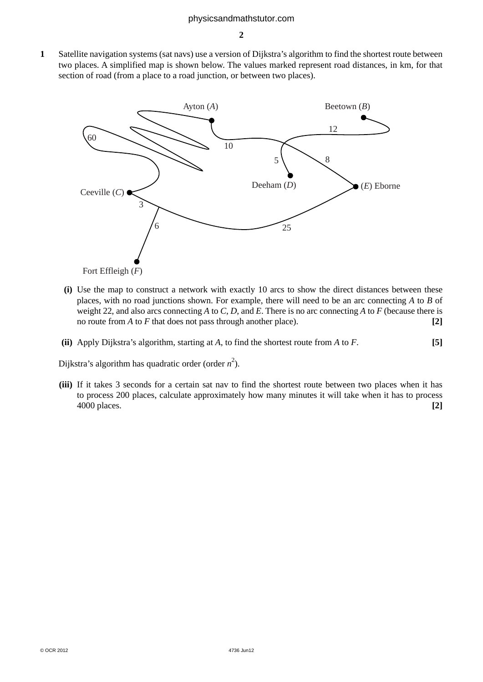**1** Satellite navigation systems (sat navs) use a version of Dijkstra's algorithm to find the shortest route between two places. A simplified map is shown below. The values marked represent road distances, in km, for that section of road (from a place to a road junction, or between two places).



- **(i)** Use the map to construct a network with exactly 10 arcs to show the direct distances between these places, with no road junctions shown. For example, there will need to be an arc connecting *A* to *B* of weight 22, and also arcs connecting *A* to *C*, *D*, and *E*. There is no arc connecting *A* to *F* (because there is no route from *A* to *F* that does not pass through another place). **[2]**
- **(ii)** Apply Dijkstra's algorithm, starting at *A*, to find the shortest route from *A* to *F*. **[5]**

Dijkstra's algorithm has quadratic order (order  $n^2$ ).

 **(iii)** If it takes 3 seconds for a certain sat nav to find the shortest route between two places when it has to process 200 places, calculate approximately how many minutes it will take when it has to process 4000 places. **[2]**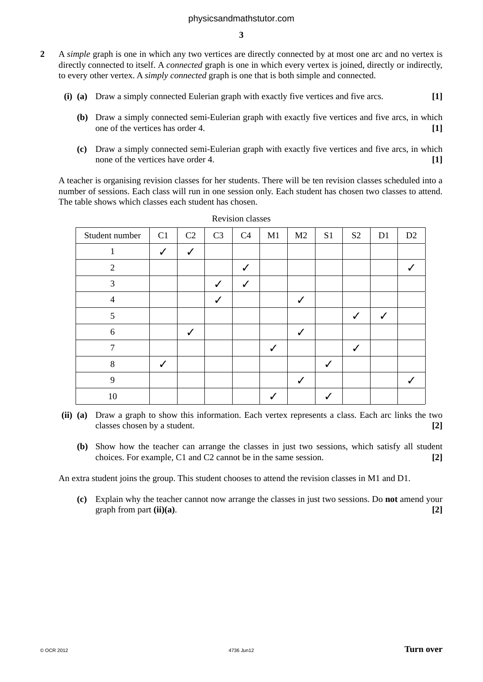#### physicsandmathstutor.com

**3**

- **2** A *simple* graph is one in which any two vertices are directly connected by at most one arc and no vertex is directly connected to itself. A *connected* graph is one in which every vertex is joined, directly or indirectly, to every other vertex. A *simply connected* graph is one that is both simple and connected.
	- **(i) (a)** Draw a simply connected Eulerian graph with exactly five vertices and five arcs. **[1]**
		- **(b)** Draw a simply connected semi-Eulerian graph with exactly five vertices and five arcs, in which one of the vertices has order 4. **[1]**
		- **(c)** Draw a simply connected semi-Eulerian graph with exactly five vertices and five arcs, in which none of the vertices have order 4. **[1] [1]**

A teacher is organising revision classes for her students. There will be ten revision classes scheduled into a number of sessions. Each class will run in one session only. Each student has chosen two classes to attend. The table shows which classes each student has chosen.

| Student number | C1           | C2           | C <sub>3</sub> | C4 | M1 | M <sub>2</sub> | S <sub>1</sub> | S <sub>2</sub> | D1 | D2 |
|----------------|--------------|--------------|----------------|----|----|----------------|----------------|----------------|----|----|
|                | $\checkmark$ | $\checkmark$ |                |    |    |                |                |                |    |    |
| $\overline{2}$ |              |              |                | ✓  |    |                |                |                |    |    |
| 3              |              |              | J              | J  |    |                |                |                |    |    |
| $\overline{4}$ |              |              | $\checkmark$   |    |    | $\checkmark$   |                |                |    |    |
| 5              |              |              |                |    |    |                |                | $\checkmark$   | ✓  |    |
| 6              |              | $\checkmark$ |                |    |    |                |                |                |    |    |
| $\overline{7}$ |              |              |                |    | ✓  |                |                | $\checkmark$   |    |    |
| 8              | J            |              |                |    |    |                |                |                |    |    |
| 9              |              |              |                |    |    | $\checkmark$   |                |                |    |    |
| 10             |              |              |                |    |    |                |                |                |    |    |

Revision classes

- **(ii) (a)** Draw a graph to show this information. Each vertex represents a class. Each arc links the two classes chosen by a student. **[2]**
	- **(b)** Show how the teacher can arrange the classes in just two sessions, which satisfy all student choices. For example, C1 and C2 cannot be in the same session. **[2]**

An extra student joins the group. This student chooses to attend the revision classes in M1 and D1.

 **(c)** Explain why the teacher cannot now arrange the classes in just two sessions. Do **not** amend your graph from part **(ii)(a)**. **[2]**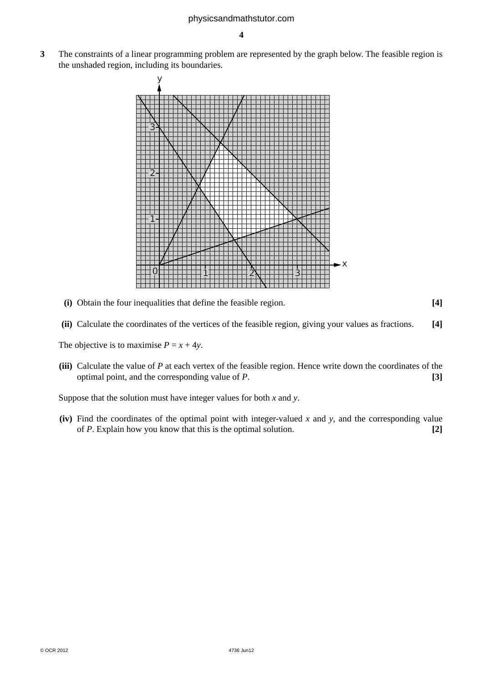**3** The constraints of a linear programming problem are represented by the graph below. The feasible region is the unshaded region, including its boundaries.



 **(i)** Obtain the four inequalities that define the feasible region. **[4]**

 **(ii)** Calculate the coordinates of the vertices of the feasible region, giving your values as fractions. **[4]**

The objective is to maximise  $P = x + 4y$ .

 **(iii)** Calculate the value of *P* at each vertex of the feasible region. Hence write down the coordinates of the optimal point, and the corresponding value of *P*. **[3]**

Suppose that the solution must have integer values for both *x* and *y*.

 **(iv)** Find the coordinates of the optimal point with integer-valued *x* and *y*, and the corresponding value of *P*. Explain how you know that this is the optimal solution. **[2]**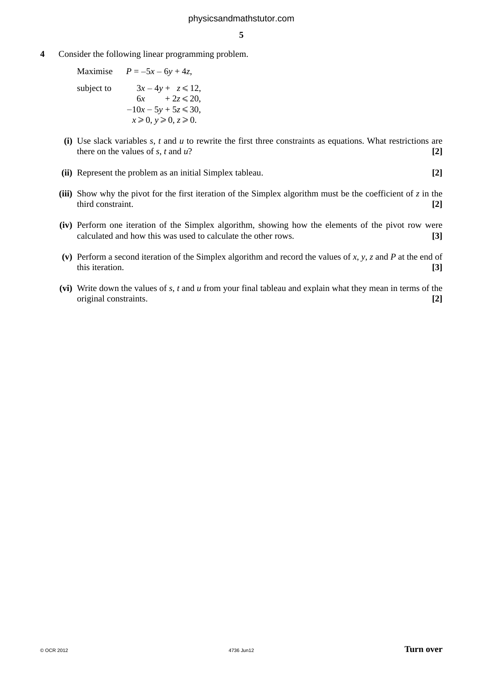**4** Consider the following linear programming problem.

Maximise  $P = -5x - 6y + 4z$ , subject to  $3x - 4y + z \le 12$ ,  $6x + 2z \le 20,$  $-10x - 5y + 5z \le 30$ ,  $x \ge 0$ ,  $y \ge 0$ ,  $z \ge 0$ .

- **(i)** Use slack variables *s*, *t* and *u* to rewrite the first three constraints as equations. What restrictions are there on the values of  $s$ ,  $t$  and  $u$ ?  $[2]$
- **(ii)** Represent the problem as an initial Simplex tableau. **[2]**
- **(iii)** Show why the pivot for the first iteration of the Simplex algorithm must be the coefficient of  $z$  in the third constraint. **[2]**
- **(iv)** Perform one iteration of the Simplex algorithm, showing how the elements of the pivot row were calculated and how this was used to calculate the other rows. **[3]**
- **(v)** Perform a second iteration of the Simplex algorithm and record the values of *x*, *y*, *z* and *P* at the end of this iteration. **[3]**
- **(vi)** Write down the values of *s*, *t* and *u* from your final tableau and explain what they mean in terms of the original constraints. **[2]**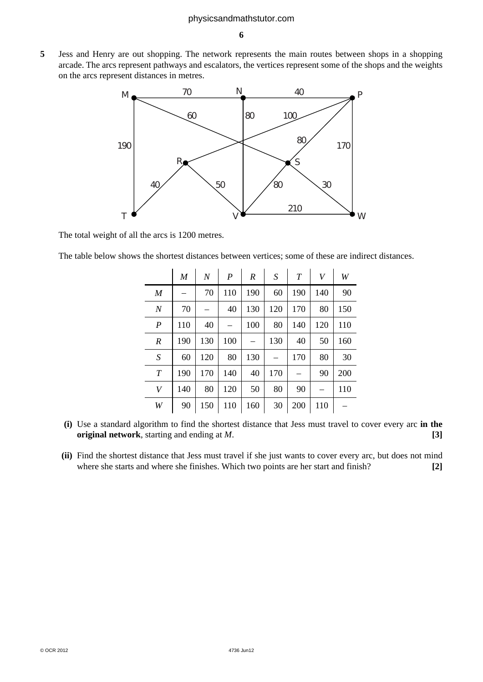**5** Jess and Henry are out shopping. The network represents the main routes between shops in a shopping arcade. The arcs represent pathways and escalators, the vertices represent some of the shops and the weights on the arcs represent distances in metres.



The total weight of all the arcs is 1200 metres.

The table below shows the shortest distances between vertices; some of these are indirect distances.

|                  | M   | $\boldsymbol{N}$ | $\boldsymbol{P}$ | R   | S   | T   | V   | W   |
|------------------|-----|------------------|------------------|-----|-----|-----|-----|-----|
| $\boldsymbol{M}$ |     | 70               | 110              | 190 | 60  | 190 | 140 | 90  |
| $\boldsymbol{N}$ | 70  |                  | 40               | 130 | 120 | 170 | 80  | 150 |
| $\boldsymbol{P}$ | 110 | 40               |                  | 100 | 80  | 140 | 120 | 110 |
| $\boldsymbol{R}$ | 190 | 130              | 100              |     | 130 | 40  | 50  | 160 |
| S                | 60  | 120              | 80               | 130 |     | 170 | 80  | 30  |
| $\boldsymbol{T}$ | 190 | 170              | 140              | 40  | 170 |     | 90  | 200 |
| V                | 140 | 80               | 120              | 50  | 80  | 90  |     | 110 |
| W                | 90  | 150              | 110              | 160 | 30  | 200 | 110 |     |

- **(i)** Use a standard algorithm to find the shortest distance that Jess must travel to cover every arc **in the original network**, starting and ending at *M*. **[3]**
- **(ii)** Find the shortest distance that Jess must travel if she just wants to cover every arc, but does not mind where she starts and where she finishes. Which two points are her start and finish? **[2]**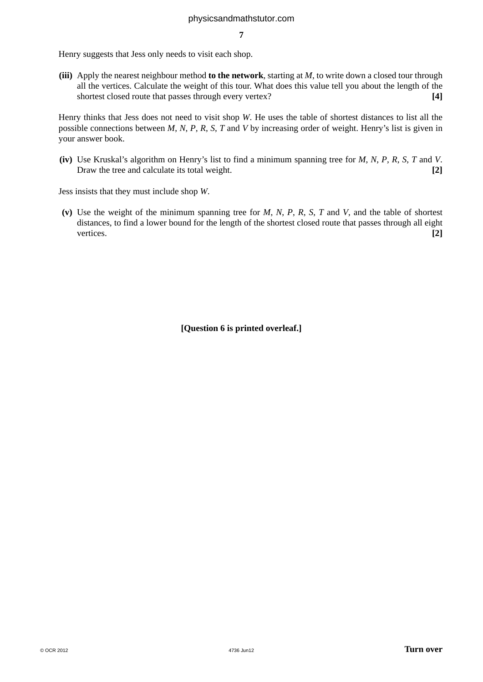Henry suggests that Jess only needs to visit each shop.

 **(iii)** Apply the nearest neighbour method **to the network**, starting at *M*, to write down a closed tour through all the vertices. Calculate the weight of this tour. What does this value tell you about the length of the shortest closed route that passes through every vertex? **[4]**

Henry thinks that Jess does not need to visit shop *W*. He uses the table of shortest distances to list all the possible connections between *M*, *N*, *P*, *R*, *S*, *T* and *V* by increasing order of weight. Henry's list is given in your answer book.

 **(iv)** Use Kruskal's algorithm on Henry's list to find a minimum spanning tree for *M*, *N*, *P*, *R*, *S*, *T* and *V*. Draw the tree and calculate its total weight. **[2]** 

Jess insists that they must include shop *W*.

 **(v)** Use the weight of the minimum spanning tree for *M*, *N*, *P*, *R*, *S*, *T* and *V*, and the table of shortest distances, to find a lower bound for the length of the shortest closed route that passes through all eight vertices. **[2]**

**[Question 6 is printed overleaf.]**